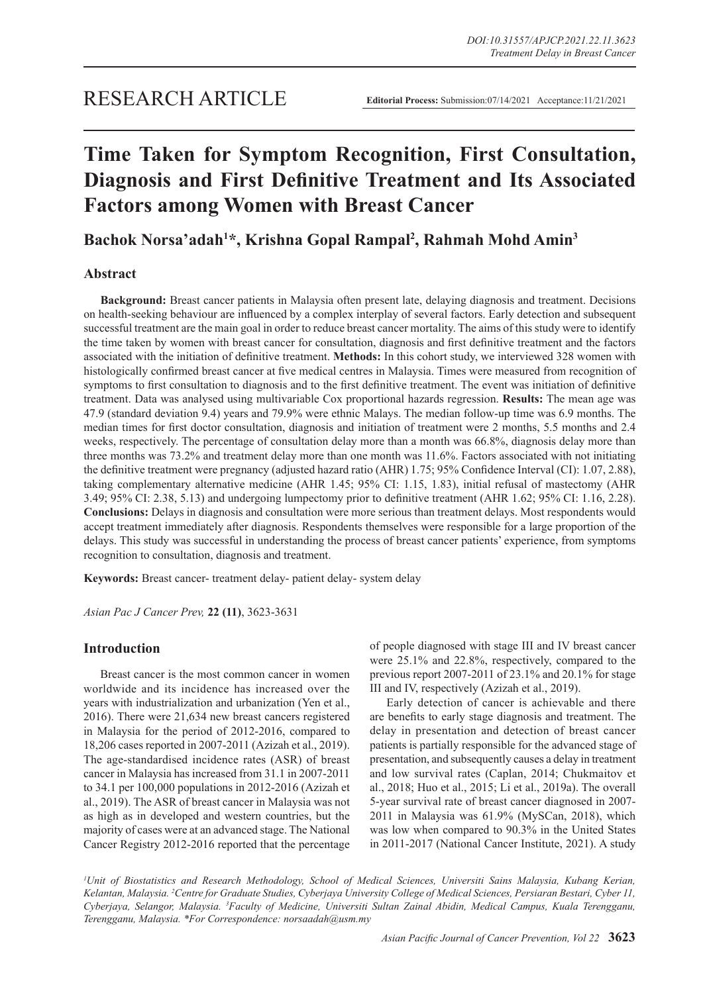# **Time Taken for Symptom Recognition, First Consultation, Diagnosis and First Definitive Treatment and Its Associated Factors among Women with Breast Cancer**

**Bachok Norsa'adah1 \*, Krishna Gopal Rampal2 , Rahmah Mohd Amin3**

# **Abstract**

**Background:** Breast cancer patients in Malaysia often present late, delaying diagnosis and treatment. Decisions on health-seeking behaviour are influenced by a complex interplay of several factors. Early detection and subsequent successful treatment are the main goal in order to reduce breast cancer mortality. The aims of this study were to identify the time taken by women with breast cancer for consultation, diagnosis and first definitive treatment and the factors associated with the initiation of definitive treatment. **Methods:** In this cohort study, we interviewed 328 women with histologically confirmed breast cancer at five medical centres in Malaysia. Times were measured from recognition of symptoms to first consultation to diagnosis and to the first definitive treatment. The event was initiation of definitive treatment. Data was analysed using multivariable Cox proportional hazards regression. **Results:** The mean age was 47.9 (standard deviation 9.4) years and 79.9% were ethnic Malays. The median follow-up time was 6.9 months. The median times for first doctor consultation, diagnosis and initiation of treatment were 2 months, 5.5 months and 2.4 weeks, respectively. The percentage of consultation delay more than a month was 66.8%, diagnosis delay more than three months was 73.2% and treatment delay more than one month was 11.6%. Factors associated with not initiating the definitive treatment were pregnancy (adjusted hazard ratio (AHR) 1.75; 95% Confidence Interval (CI): 1.07, 2.88), taking complementary alternative medicine (AHR 1.45; 95% CI: 1.15, 1.83), initial refusal of mastectomy (AHR 3.49; 95% CI: 2.38, 5.13) and undergoing lumpectomy prior to definitive treatment (AHR 1.62; 95% CI: 1.16, 2.28). **Conclusions:** Delays in diagnosis and consultation were more serious than treatment delays. Most respondents would accept treatment immediately after diagnosis. Respondents themselves were responsible for a large proportion of the delays. This study was successful in understanding the process of breast cancer patients' experience, from symptoms recognition to consultation, diagnosis and treatment.

**Keywords:** Breast cancer- treatment delay- patient delay- system delay

*Asian Pac J Cancer Prev,* **22 (11)**, 3623-3631

# **Introduction**

Breast cancer is the most common cancer in women worldwide and its incidence has increased over the years with industrialization and urbanization (Yen et al., 2016). There were 21,634 new breast cancers registered in Malaysia for the period of 2012-2016, compared to 18,206 cases reported in 2007-2011 (Azizah et al., 2019). The age-standardised incidence rates (ASR) of breast cancer in Malaysia has increased from 31.1 in 2007-2011 to 34.1 per 100,000 populations in 2012-2016 (Azizah et al., 2019). The ASR of breast cancer in Malaysia was not as high as in developed and western countries, but the majority of cases were at an advanced stage. The National Cancer Registry 2012-2016 reported that the percentage of people diagnosed with stage III and IV breast cancer were 25.1% and 22.8%, respectively, compared to the previous report 2007-2011 of 23.1% and 20.1% for stage III and IV, respectively (Azizah et al., 2019).

Early detection of cancer is achievable and there are benefits to early stage diagnosis and treatment. The delay in presentation and detection of breast cancer patients is partially responsible for the advanced stage of presentation, and subsequently causes a delay in treatment and low survival rates (Caplan, 2014; Chukmaitov et al., 2018; Huo et al., 2015; Li et al., 2019a). The overall 5-year survival rate of breast cancer diagnosed in 2007- 2011 in Malaysia was 61.9% (MySCan, 2018), which was low when compared to 90.3% in the United States in 2011-2017 (National Cancer Institute, 2021). A study

<sup>1</sup>Unit of Biostatistics and Research Methodology, School of Medical Sciences, Universiti Sains Malaysia, Kubang Kerian, *Kelantan, Malaysia. 2 Centre for Graduate Studies, Cyberjaya University College of Medical Sciences, Persiaran Bestari, Cyber 11, Cyberjaya, Selangor, Malaysia. 3 Faculty of Medicine, Universiti Sultan Zainal Abidin, Medical Campus, Kuala Terengganu, Terengganu, Malaysia. \*For Correspondence: norsaadah@usm.my*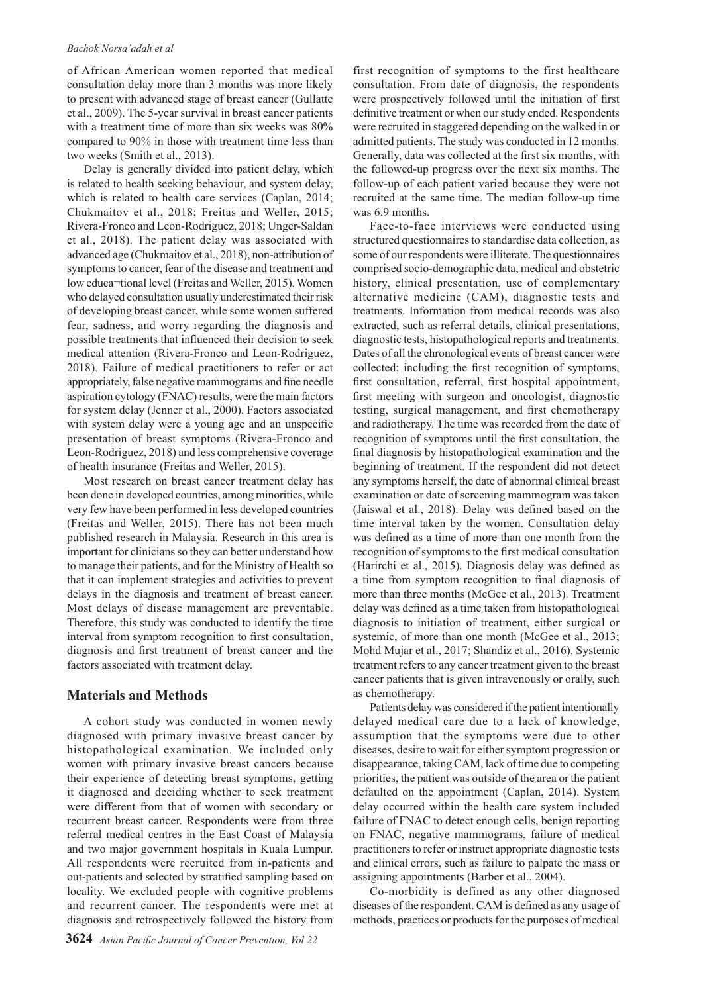of African American women reported that medical consultation delay more than 3 months was more likely to present with advanced stage of breast cancer (Gullatte et al., 2009). The 5-year survival in breast cancer patients with a treatment time of more than six weeks was 80% compared to 90% in those with treatment time less than two weeks (Smith et al., 2013).

Delay is generally divided into patient delay, which is related to health seeking behaviour, and system delay, which is related to health care services (Caplan, 2014; Chukmaitov et al., 2018; Freitas and Weller, 2015; Rivera-Fronco and Leon-Rodriguez, 2018; Unger-Saldan et al., 2018). The patient delay was associated with advanced age (Chukmaitov et al., 2018), non-attribution of symptoms to cancer, fear of the disease and treatment and low educa¬tional level (Freitas and Weller, 2015). Women who delayed consultation usually underestimated their risk of developing breast cancer, while some women suffered fear, sadness, and worry regarding the diagnosis and possible treatments that influenced their decision to seek medical attention (Rivera-Fronco and Leon-Rodriguez, 2018). Failure of medical practitioners to refer or act appropriately, false negative mammograms and fine needle aspiration cytology (FNAC) results, were the main factors for system delay (Jenner et al., 2000). Factors associated with system delay were a young age and an unspecific presentation of breast symptoms (Rivera-Fronco and Leon-Rodriguez, 2018) and less comprehensive coverage of health insurance (Freitas and Weller, 2015).

Most research on breast cancer treatment delay has been done in developed countries, among minorities, while very few have been performed in less developed countries (Freitas and Weller, 2015). There has not been much published research in Malaysia. Research in this area is important for clinicians so they can better understand how to manage their patients, and for the Ministry of Health so that it can implement strategies and activities to prevent delays in the diagnosis and treatment of breast cancer. Most delays of disease management are preventable. Therefore, this study was conducted to identify the time interval from symptom recognition to first consultation, diagnosis and first treatment of breast cancer and the factors associated with treatment delay.

## **Materials and Methods**

A cohort study was conducted in women newly diagnosed with primary invasive breast cancer by histopathological examination. We included only women with primary invasive breast cancers because their experience of detecting breast symptoms, getting it diagnosed and deciding whether to seek treatment were different from that of women with secondary or recurrent breast cancer. Respondents were from three referral medical centres in the East Coast of Malaysia and two major government hospitals in Kuala Lumpur. All respondents were recruited from in-patients and out-patients and selected by stratified sampling based on locality. We excluded people with cognitive problems and recurrent cancer. The respondents were met at diagnosis and retrospectively followed the history from

first recognition of symptoms to the first healthcare consultation. From date of diagnosis, the respondents were prospectively followed until the initiation of first definitive treatment or when our study ended. Respondents were recruited in staggered depending on the walked in or admitted patients. The study was conducted in 12 months. Generally, data was collected at the first six months, with the followed-up progress over the next six months. The follow-up of each patient varied because they were not recruited at the same time. The median follow-up time was 6.9 months.

Face-to-face interviews were conducted using structured questionnaires to standardise data collection, as some of our respondents were illiterate. The questionnaires comprised socio-demographic data, medical and obstetric history, clinical presentation, use of complementary alternative medicine (CAM), diagnostic tests and treatments. Information from medical records was also extracted, such as referral details, clinical presentations, diagnostic tests, histopathological reports and treatments. Dates of all the chronological events of breast cancer were collected; including the first recognition of symptoms, first consultation, referral, first hospital appointment, first meeting with surgeon and oncologist, diagnostic testing, surgical management, and first chemotherapy and radiotherapy. The time was recorded from the date of recognition of symptoms until the first consultation, the final diagnosis by histopathological examination and the beginning of treatment. If the respondent did not detect any symptoms herself, the date of abnormal clinical breast examination or date of screening mammogram was taken (Jaiswal et al., 2018). Delay was defined based on the time interval taken by the women. Consultation delay was defined as a time of more than one month from the recognition of symptoms to the first medical consultation (Harirchi et al., 2015). Diagnosis delay was defined as a time from symptom recognition to final diagnosis of more than three months (McGee et al., 2013). Treatment delay was defined as a time taken from histopathological diagnosis to initiation of treatment, either surgical or systemic, of more than one month (McGee et al., 2013; Mohd Mujar et al., 2017; Shandiz et al., 2016). Systemic treatment refers to any cancer treatment given to the breast cancer patients that is given intravenously or orally, such as chemotherapy.

Patients delay was considered if the patient intentionally delayed medical care due to a lack of knowledge, assumption that the symptoms were due to other diseases, desire to wait for either symptom progression or disappearance, taking CAM, lack of time due to competing priorities, the patient was outside of the area or the patient defaulted on the appointment (Caplan, 2014). System delay occurred within the health care system included failure of FNAC to detect enough cells, benign reporting on FNAC, negative mammograms, failure of medical practitioners to refer or instruct appropriate diagnostic tests and clinical errors, such as failure to palpate the mass or assigning appointments (Barber et al., 2004).

Co-morbidity is defined as any other diagnosed diseases of the respondent. CAM is defined as any usage of methods, practices or products for the purposes of medical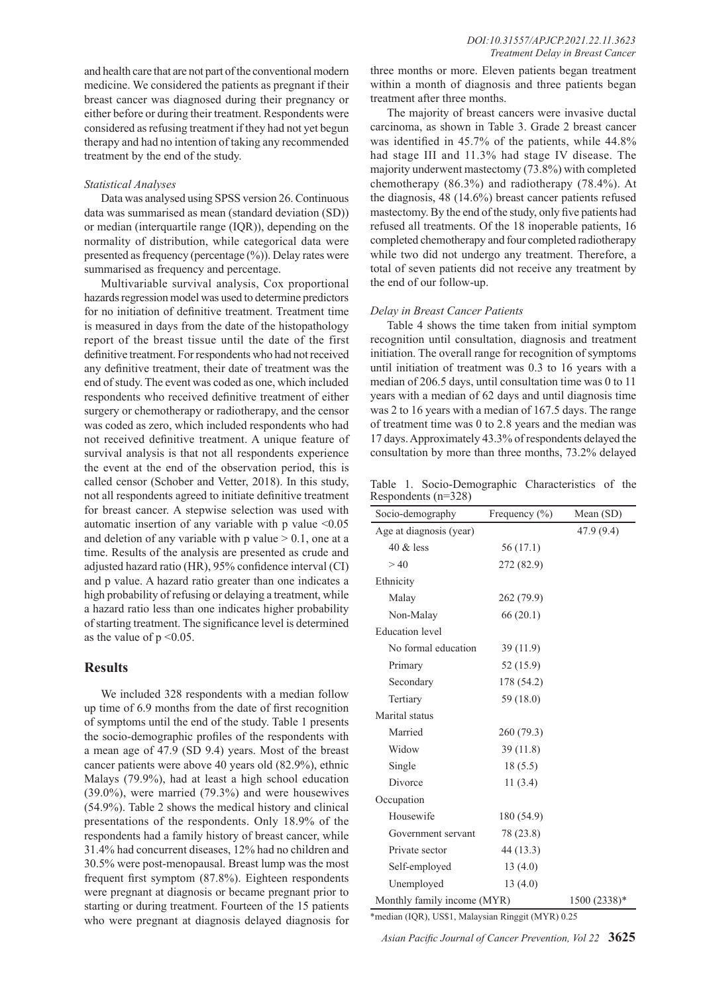and health care that are not part of the conventional modern medicine. We considered the patients as pregnant if their breast cancer was diagnosed during their pregnancy or either before or during their treatment. Respondents were considered as refusing treatment if they had not yet begun therapy and had no intention of taking any recommended treatment by the end of the study.

## *Statistical Analyses*

Data was analysed using SPSS version 26. Continuous data was summarised as mean (standard deviation (SD)) or median (interquartile range (IQR)), depending on the normality of distribution, while categorical data were presented as frequency (percentage (%)). Delay rates were summarised as frequency and percentage.

Multivariable survival analysis, Cox proportional hazards regression model was used to determine predictors for no initiation of definitive treatment. Treatment time is measured in days from the date of the histopathology report of the breast tissue until the date of the first definitive treatment. For respondents who had not received any definitive treatment, their date of treatment was the end of study. The event was coded as one, which included respondents who received definitive treatment of either surgery or chemotherapy or radiotherapy, and the censor was coded as zero, which included respondents who had not received definitive treatment. A unique feature of survival analysis is that not all respondents experience the event at the end of the observation period, this is called censor (Schober and Vetter, 2018). In this study, not all respondents agreed to initiate definitive treatment for breast cancer. A stepwise selection was used with automatic insertion of any variable with  $p$  value  $\leq 0.05$ and deletion of any variable with p value  $> 0.1$ , one at a time. Results of the analysis are presented as crude and adjusted hazard ratio (HR), 95% confidence interval (CI) and p value. A hazard ratio greater than one indicates a high probability of refusing or delaying a treatment, while a hazard ratio less than one indicates higher probability of starting treatment. The significance level is determined as the value of  $p \leq 0.05$ .

## **Results**

We included 328 respondents with a median follow up time of 6.9 months from the date of first recognition of symptoms until the end of the study. Table 1 presents the socio-demographic profiles of the respondents with a mean age of 47.9 (SD 9.4) years. Most of the breast cancer patients were above 40 years old (82.9%), ethnic Malays (79.9%), had at least a high school education (39.0%), were married (79.3%) and were housewives (54.9%). Table 2 shows the medical history and clinical presentations of the respondents. Only 18.9% of the respondents had a family history of breast cancer, while 31.4% had concurrent diseases, 12% had no children and 30.5% were post-menopausal. Breast lump was the most frequent first symptom (87.8%). Eighteen respondents were pregnant at diagnosis or became pregnant prior to starting or during treatment. Fourteen of the 15 patients who were pregnant at diagnosis delayed diagnosis for three months or more. Eleven patients began treatment within a month of diagnosis and three patients began treatment after three months.

The majority of breast cancers were invasive ductal carcinoma, as shown in Table 3. Grade 2 breast cancer was identified in 45.7% of the patients, while 44.8% had stage III and 11.3% had stage IV disease. The majority underwent mastectomy (73.8%) with completed chemotherapy (86.3%) and radiotherapy (78.4%). At the diagnosis, 48 (14.6%) breast cancer patients refused mastectomy. By the end of the study, only five patients had refused all treatments. Of the 18 inoperable patients, 16 completed chemotherapy and four completed radiotherapy while two did not undergo any treatment. Therefore, a total of seven patients did not receive any treatment by the end of our follow-up.

## *Delay in Breast Cancer Patients*

Table 4 shows the time taken from initial symptom recognition until consultation, diagnosis and treatment initiation. The overall range for recognition of symptoms until initiation of treatment was 0.3 to 16 years with a median of 206.5 days, until consultation time was 0 to 11 years with a median of 62 days and until diagnosis time was 2 to 16 years with a median of 167.5 days. The range of treatment time was 0 to 2.8 years and the median was 17 days. Approximately 43.3% of respondents delayed the consultation by more than three months, 73.2% delayed

Table 1. Socio-Demographic Characteristics of the Respondents (n=328)

| Socio-demography            | Frequency $(\% )$ | Mean (SD)    |
|-----------------------------|-------------------|--------------|
| Age at diagnosis (year)     |                   | 47.9 (9.4)   |
| $40 \&$ less                | 56(17.1)          |              |
| >40                         | 272 (82.9)        |              |
| Ethnicity                   |                   |              |
| Malay                       | 262 (79.9)        |              |
| Non-Malay                   | 66(20.1)          |              |
| <b>Education</b> level      |                   |              |
| No formal education         | 39(11.9)          |              |
| Primary                     | 52 (15.9)         |              |
| Secondary                   | 178 (54.2)        |              |
| Tertiary                    | 59 (18.0)         |              |
| Marital status              |                   |              |
| Married                     | 260 (79.3)        |              |
| Widow                       | 39(11.8)          |              |
| Single                      | 18(5.5)           |              |
| Divorce                     | 11(3.4)           |              |
| Occupation                  |                   |              |
| Housewife                   | 180 (54.9)        |              |
| Government servant          | 78 (23.8)         |              |
| Private sector              | 44 (13.3)         |              |
| Self-employed               | 13(4.0)           |              |
| Unemployed                  | 13(4.0)           |              |
| Monthly family income (MYR) |                   | 1500 (2338)* |

\*median (IQR), US\$1, Malaysian Ringgit (MYR) 0.25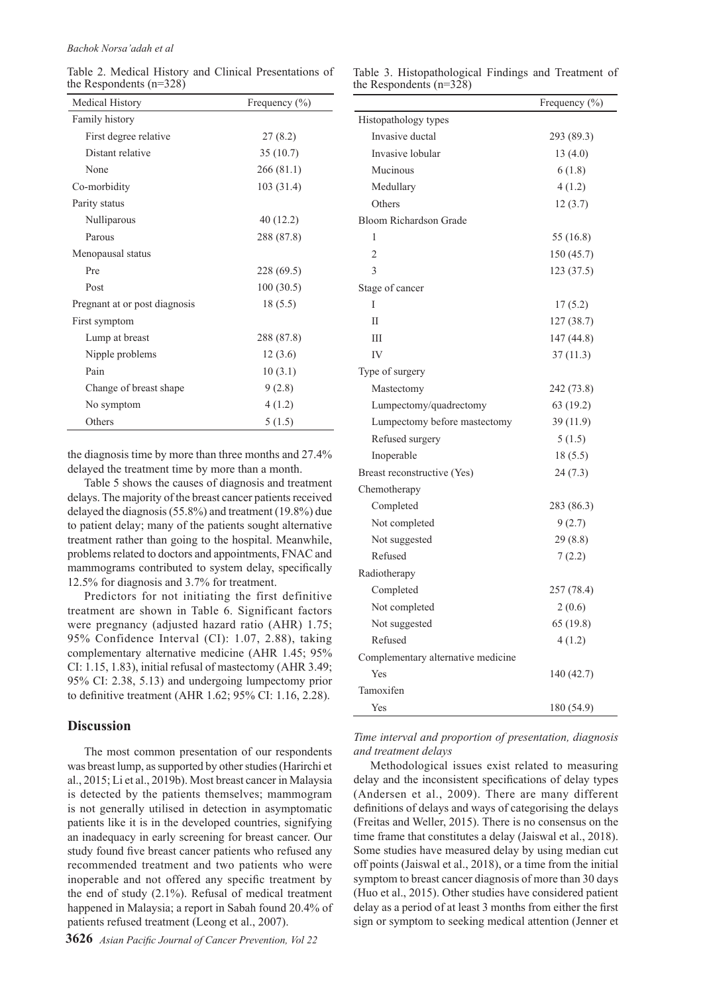Table 2. Medical History and Clinical Presentations of the Respondents (n=328)

|                           |  | Table 3. Histopathological Findings and Treatment of |  |
|---------------------------|--|------------------------------------------------------|--|
| the Respondents $(n=328)$ |  |                                                      |  |

| Medical History               | Frequency (%) |
|-------------------------------|---------------|
| Family history                |               |
| First degree relative         | 27(8.2)       |
| Distant relative              | 35(10.7)      |
| None                          | 266(81.1)     |
| Co-morbidity                  | 103(31.4)     |
| Parity status                 |               |
| Nulliparous                   | 40(12.2)      |
| Parous                        | 288 (87.8)    |
| Menopausal status             |               |
| Pre                           | 228 (69.5)    |
| Post                          | 100(30.5)     |
| Pregnant at or post diagnosis | 18(5.5)       |
| First symptom                 |               |
| Lump at breast                | 288 (87.8)    |
| Nipple problems               | 12(3.6)       |
| Pain                          | 10(3.1)       |
| Change of breast shape        | 9(2.8)        |
| No symptom                    | 4(1.2)        |
| Others                        | 5(1.5)        |

the diagnosis time by more than three months and 27.4% delayed the treatment time by more than a month.

Table 5 shows the causes of diagnosis and treatment delays. The majority of the breast cancer patients received delayed the diagnosis (55.8%) and treatment (19.8%) due to patient delay; many of the patients sought alternative treatment rather than going to the hospital. Meanwhile, problems related to doctors and appointments, FNAC and mammograms contributed to system delay, specifically 12.5% for diagnosis and 3.7% for treatment.

Predictors for not initiating the first definitive treatment are shown in Table 6. Significant factors were pregnancy (adjusted hazard ratio (AHR) 1.75; 95% Confidence Interval (CI): 1.07, 2.88), taking complementary alternative medicine (AHR 1.45; 95% CI: 1.15, 1.83), initial refusal of mastectomy (AHR 3.49; 95% CI: 2.38, 5.13) and undergoing lumpectomy prior to definitive treatment (AHR 1.62; 95% CI: 1.16, 2.28).

## **Discussion**

The most common presentation of our respondents was breast lump, as supported by other studies (Harirchi et al., 2015; Li et al., 2019b). Most breast cancer in Malaysia is detected by the patients themselves; mammogram is not generally utilised in detection in asymptomatic patients like it is in the developed countries, signifying an inadequacy in early screening for breast cancer. Our study found five breast cancer patients who refused any recommended treatment and two patients who were inoperable and not offered any specific treatment by the end of study (2.1%). Refusal of medical treatment happened in Malaysia; a report in Sabah found 20.4% of patients refused treatment (Leong et al., 2007).

**3626** *Asian Pacific Journal of Cancer Prevention, Vol 22*

|                                    | Frequency (%) |
|------------------------------------|---------------|
| Histopathology types               |               |
| Invasive ductal                    | 293 (89.3)    |
| Invasive lobular                   | 13(4.0)       |
| Mucinous                           | 6(1.8)        |
| Medullary                          | 4(1.2)        |
| Others                             | 12(3.7)       |
| Bloom Richardson Grade             |               |
| 1                                  | 55 (16.8)     |
| $\overline{2}$                     | 150 (45.7)    |
| 3                                  | 123 (37.5)    |
| Stage of cancer                    |               |
| I                                  | 17(5.2)       |
| П                                  | 127 (38.7)    |
| Ш                                  | 147 (44.8)    |
| IV                                 | 37(11.3)      |
| Type of surgery                    |               |
| Mastectomy                         | 242 (73.8)    |
| Lumpectomy/quadrectomy             | 63 (19.2)     |
| Lumpectomy before mastectomy       | 39 (11.9)     |
| Refused surgery                    | 5(1.5)        |
| Inoperable                         | 18(5.5)       |
| Breast reconstructive (Yes)        | 24(7.3)       |
| Chemotherapy                       |               |
| Completed                          | 283 (86.3)    |
| Not completed                      | 9(2.7)        |
| Not suggested                      | 29(8.8)       |
| Refused                            | 7(2.2)        |
| Radiotherapy                       |               |
| Completed                          | 257 (78.4)    |
| Not completed                      | 2(0.6)        |
| Not suggested                      | 65 (19.8)     |
| Refused                            | 4(1.2)        |
| Complementary alternative medicine |               |
| Yes                                | 140 (42.7)    |
| Tamoxifen                          |               |
| Yes                                | 180 (54.9)    |

*Time interval and proportion of presentation, diagnosis and treatment delays*

Methodological issues exist related to measuring delay and the inconsistent specifications of delay types (Andersen et al., 2009). There are many different definitions of delays and ways of categorising the delays (Freitas and Weller, 2015). There is no consensus on the time frame that constitutes a delay (Jaiswal et al., 2018). Some studies have measured delay by using median cut off points (Jaiswal et al., 2018), or a time from the initial symptom to breast cancer diagnosis of more than 30 days (Huo et al., 2015). Other studies have considered patient delay as a period of at least 3 months from either the first sign or symptom to seeking medical attention (Jenner et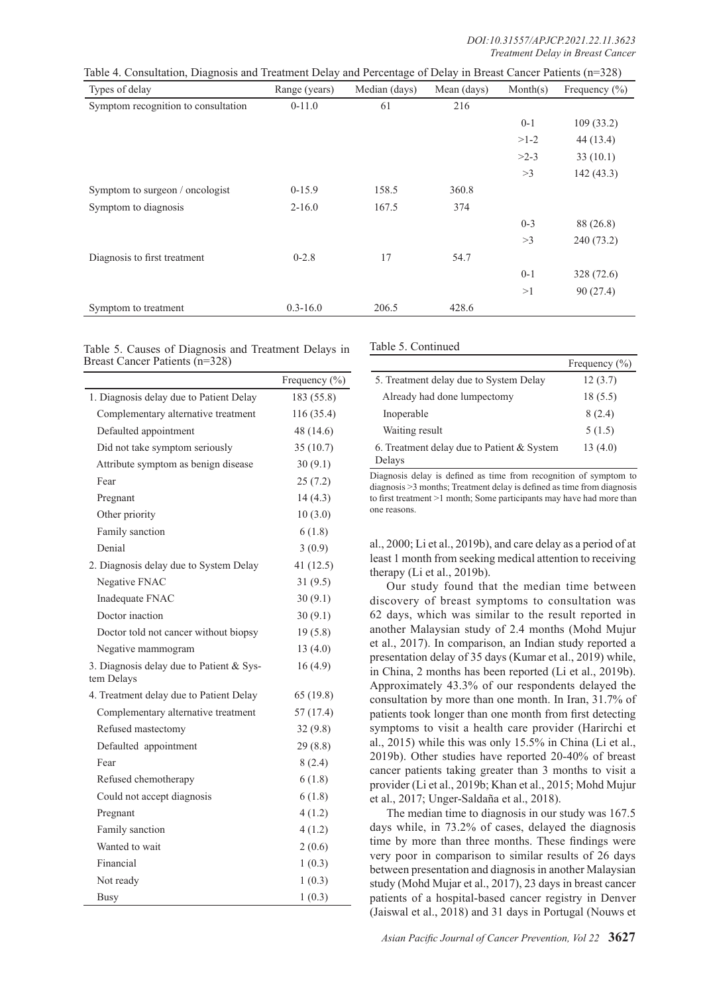| Types of delay                      | Range (years) | Median (days) | Mean (days) | Month(s) | Frequency $(\% )$ |
|-------------------------------------|---------------|---------------|-------------|----------|-------------------|
| Symptom recognition to consultation | $0-11.0$      | 61            | 216         |          |                   |
|                                     |               |               |             | $0-1$    | 109(33.2)         |
|                                     |               |               |             | $>1-2$   | 44(13.4)          |
|                                     |               |               |             | $>2-3$   | 33(10.1)          |
|                                     |               |               |             | >3       | 142(43.3)         |
| Symptom to surgeon / oncologist     | $0-15.9$      | 158.5         | 360.8       |          |                   |
| Symptom to diagnosis                | $2 - 16.0$    | 167.5         | 374         |          |                   |
|                                     |               |               |             | $0 - 3$  | 88 (26.8)         |
|                                     |               |               |             | >3       | 240(73.2)         |
| Diagnosis to first treatment        | $0 - 2.8$     | 17            | 54.7        |          |                   |
|                                     |               |               |             | $0-1$    | 328 (72.6)        |
|                                     |               |               |             | >1       | 90(27.4)          |
| Symptom to treatment                | $0.3 - 16.0$  | 206.5         | 428.6       |          |                   |

Table 5. Causes of Diagnosis and Treatment Delays in Breast Cancer Patients (n=328)

|                                                        | Frequency (%) |
|--------------------------------------------------------|---------------|
| 1. Diagnosis delay due to Patient Delay                | 183 (55.8)    |
| Complementary alternative treatment                    | 116 (35.4)    |
| Defaulted appointment                                  | 48 (14.6)     |
| Did not take symptom seriously                         | 35(10.7)      |
| Attribute symptom as benign disease                    | 30(9.1)       |
| Fear                                                   | 25(7.2)       |
| Pregnant                                               | 14(4.3)       |
| Other priority                                         | 10(3.0)       |
| Family sanction                                        | 6(1.8)        |
| Denial                                                 | 3(0.9)        |
| 2. Diagnosis delay due to System Delay                 | 41(12.5)      |
| Negative FNAC                                          | 31(9.5)       |
| Inadequate FNAC                                        | 30(9.1)       |
| Doctor inaction                                        | 30(9.1)       |
| Doctor told not cancer without biopsy                  | 19(5.8)       |
| Negative mammogram                                     | 13(4.0)       |
| 3. Diagnosis delay due to Patient & Sys-<br>tem Delays | 16(4.9)       |
| 4. Treatment delay due to Patient Delay                | 65(19.8)      |
| Complementary alternative treatment                    | 57 (17.4)     |
| Refused mastectomy                                     | 32(9.8)       |
| Defaulted appointment                                  | 29(8.8)       |
| Fear                                                   | 8(2.4)        |
| Refused chemotherapy                                   | 6(1.8)        |
| Could not accept diagnosis                             | 6(1.8)        |
| Pregnant                                               | 4(1.2)        |
| Family sanction                                        | 4(1.2)        |
| Wanted to wait                                         | 2(0.6)        |
| Financial                                              | 1(0.3)        |
| Not ready                                              | 1(0.3)        |
| <b>Busy</b>                                            | 1(0.3)        |

Table 5. Continued

|                                                        | Frequency $(\% )$ |
|--------------------------------------------------------|-------------------|
| 5. Treatment delay due to System Delay                 | 12(3.7)           |
| Already had done lumpectomy                            | 18 (5.5)          |
| Inoperable                                             | 8(2.4)            |
| Waiting result                                         | 5(1.5)            |
| 6. Treatment delay due to Patient $& System$<br>Delays | 13(4.0)           |

Diagnosis delay is defined as time from recognition of symptom to diagnosis >3 months; Treatment delay is defined as time from diagnosis to first treatment >1 month; Some participants may have had more than one reasons.

al., 2000; Li et al., 2019b), and care delay as a period of at least 1 month from seeking medical attention to receiving therapy (Li et al., 2019b).

Our study found that the median time between discovery of breast symptoms to consultation was 62 days, which was similar to the result reported in another Malaysian study of 2.4 months (Mohd Mujur et al., 2017). In comparison, an Indian study reported a presentation delay of 35 days (Kumar et al., 2019) while, in China, 2 months has been reported (Li et al., 2019b). Approximately 43.3% of our respondents delayed the consultation by more than one month. In Iran, 31.7% of patients took longer than one month from first detecting symptoms to visit a health care provider (Harirchi et al., 2015) while this was only 15.5% in China (Li et al., 2019b). Other studies have reported 20-40% of breast cancer patients taking greater than 3 months to visit a provider (Li et al., 2019b; Khan et al., 2015; Mohd Mujur et al., 2017; Unger-Saldaña et al., 2018).

The median time to diagnosis in our study was 167.5 days while, in 73.2% of cases, delayed the diagnosis time by more than three months. These findings were very poor in comparison to similar results of 26 days between presentation and diagnosis in another Malaysian study (Mohd Mujar et al., 2017), 23 days in breast cancer patients of a hospital-based cancer registry in Denver (Jaiswal et al., 2018) and 31 days in Portugal (Nouws et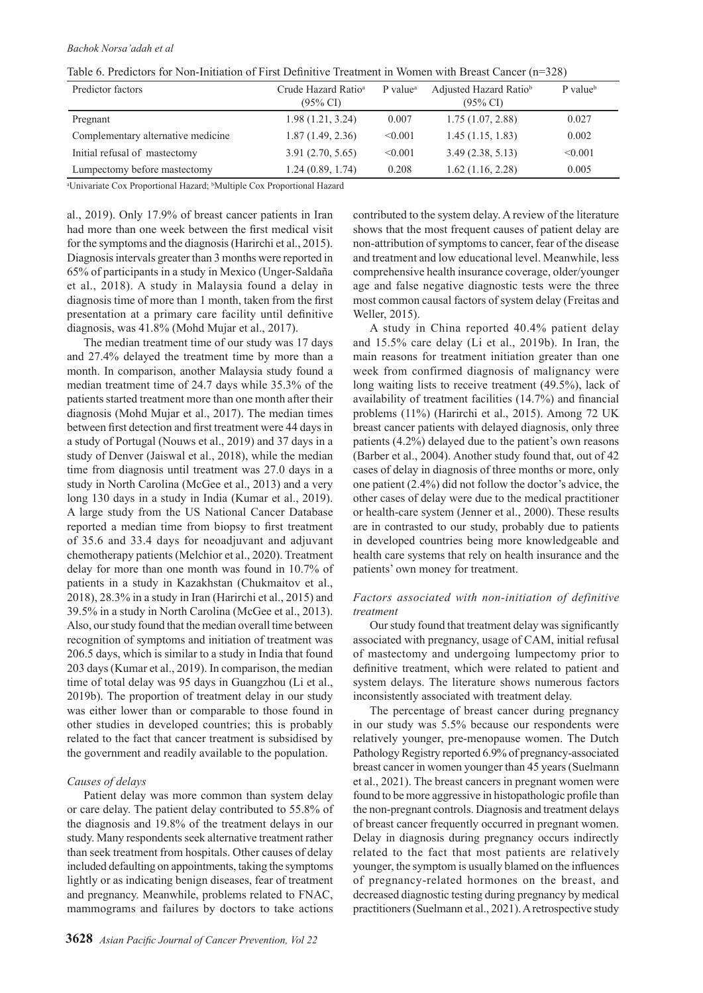| Table 6. Predictors for Non-Initiation of First Definitive Treatment in Women with Breast Cancer $(n=328)$ |  |  |  |  |
|------------------------------------------------------------------------------------------------------------|--|--|--|--|
|------------------------------------------------------------------------------------------------------------|--|--|--|--|

| Predictor factors                  | Crude Hazard Ratio <sup>a</sup><br>$(95\% \text{ CI})$ | P value <sup>a</sup> | Adjusted Hazard Ratio <sup>b</sup><br>$(95\% \text{ CI})$ | $P$ value <sup>b</sup> |
|------------------------------------|--------------------------------------------------------|----------------------|-----------------------------------------------------------|------------------------|
| Pregnant                           | 1.98(1.21, 3.24)                                       | 0.007                | 1.75(1.07, 2.88)                                          | 0.027                  |
| Complementary alternative medicine | 1.87(1.49, 2.36)                                       | < 0.001              | 1.45(1.15, 1.83)                                          | 0.002                  |
| Initial refusal of mastectomy      | 3.91(2.70, 5.65)                                       | < 0.001              | 3.49(2.38, 5.13)                                          | < 0.001                |
| Lumpectomy before mastectomy       | 1.24(0.89, 1.74)                                       | 0.208                | $1.62$ (1.16, 2.28)                                       | 0.005                  |

<sup>a</sup>Univariate Cox Proportional Hazard; <sup>b</sup>Multiple Cox Proportional Hazard

al., 2019). Only 17.9% of breast cancer patients in Iran had more than one week between the first medical visit for the symptoms and the diagnosis (Harirchi et al., 2015). Diagnosis intervals greater than 3 months were reported in 65% of participants in a study in Mexico (Unger-Saldaña et al., 2018). A study in Malaysia found a delay in diagnosis time of more than 1 month, taken from the first presentation at a primary care facility until definitive diagnosis, was 41.8% (Mohd Mujar et al., 2017).

The median treatment time of our study was 17 days and 27.4% delayed the treatment time by more than a month. In comparison, another Malaysia study found a median treatment time of 24.7 days while 35.3% of the patients started treatment more than one month after their diagnosis (Mohd Mujar et al., 2017). The median times between first detection and first treatment were 44 days in a study of Portugal (Nouws et al., 2019) and 37 days in a study of Denver (Jaiswal et al., 2018), while the median time from diagnosis until treatment was 27.0 days in a study in North Carolina (McGee et al., 2013) and a very long 130 days in a study in India (Kumar et al., 2019). A large study from the US National Cancer Database reported a median time from biopsy to first treatment of 35.6 and 33.4 days for neoadjuvant and adjuvant chemotherapy patients (Melchior et al., 2020). Treatment delay for more than one month was found in 10.7% of patients in a study in Kazakhstan (Chukmaitov et al., 2018), 28.3% in a study in Iran (Harirchi et al., 2015) and 39.5% in a study in North Carolina (McGee et al., 2013). Also, our study found that the median overall time between recognition of symptoms and initiation of treatment was 206.5 days, which is similar to a study in India that found 203 days (Kumar et al., 2019). In comparison, the median time of total delay was 95 days in Guangzhou (Li et al., 2019b). The proportion of treatment delay in our study was either lower than or comparable to those found in other studies in developed countries; this is probably related to the fact that cancer treatment is subsidised by the government and readily available to the population.

## *Causes of delays*

Patient delay was more common than system delay or care delay. The patient delay contributed to 55.8% of the diagnosis and 19.8% of the treatment delays in our study. Many respondents seek alternative treatment rather than seek treatment from hospitals. Other causes of delay included defaulting on appointments, taking the symptoms lightly or as indicating benign diseases, fear of treatment and pregnancy. Meanwhile, problems related to FNAC, mammograms and failures by doctors to take actions

contributed to the system delay. A review of the literature shows that the most frequent causes of patient delay are non-attribution of symptoms to cancer, fear of the disease and treatment and low educational level. Meanwhile, less comprehensive health insurance coverage, older/younger age and false negative diagnostic tests were the three most common causal factors of system delay (Freitas and Weller, 2015).

A study in China reported 40.4% patient delay and 15.5% care delay (Li et al., 2019b). In Iran, the main reasons for treatment initiation greater than one week from confirmed diagnosis of malignancy were long waiting lists to receive treatment (49.5%), lack of availability of treatment facilities (14.7%) and financial problems (11%) (Harirchi et al., 2015). Among 72 UK breast cancer patients with delayed diagnosis, only three patients (4.2%) delayed due to the patient's own reasons (Barber et al., 2004). Another study found that, out of 42 cases of delay in diagnosis of three months or more, only one patient (2.4%) did not follow the doctor's advice, the other cases of delay were due to the medical practitioner or health-care system (Jenner et al., 2000). These results are in contrasted to our study, probably due to patients in developed countries being more knowledgeable and health care systems that rely on health insurance and the patients' own money for treatment.

## *Factors associated with non-initiation of definitive treatment*

Our study found that treatment delay was significantly associated with pregnancy, usage of CAM, initial refusal of mastectomy and undergoing lumpectomy prior to definitive treatment, which were related to patient and system delays. The literature shows numerous factors inconsistently associated with treatment delay.

The percentage of breast cancer during pregnancy in our study was 5.5% because our respondents were relatively younger, pre-menopause women. The Dutch Pathology Registry reported 6.9% of pregnancy-associated breast cancer in women younger than 45 years (Suelmann et al., 2021). The breast cancers in pregnant women were found to be more aggressive in histopathologic profile than the non-pregnant controls. Diagnosis and treatment delays of breast cancer frequently occurred in pregnant women. Delay in diagnosis during pregnancy occurs indirectly related to the fact that most patients are relatively younger, the symptom is usually blamed on the influences of pregnancy-related hormones on the breast, and decreased diagnostic testing during pregnancy by medical practitioners (Suelmann et al., 2021). A retrospective study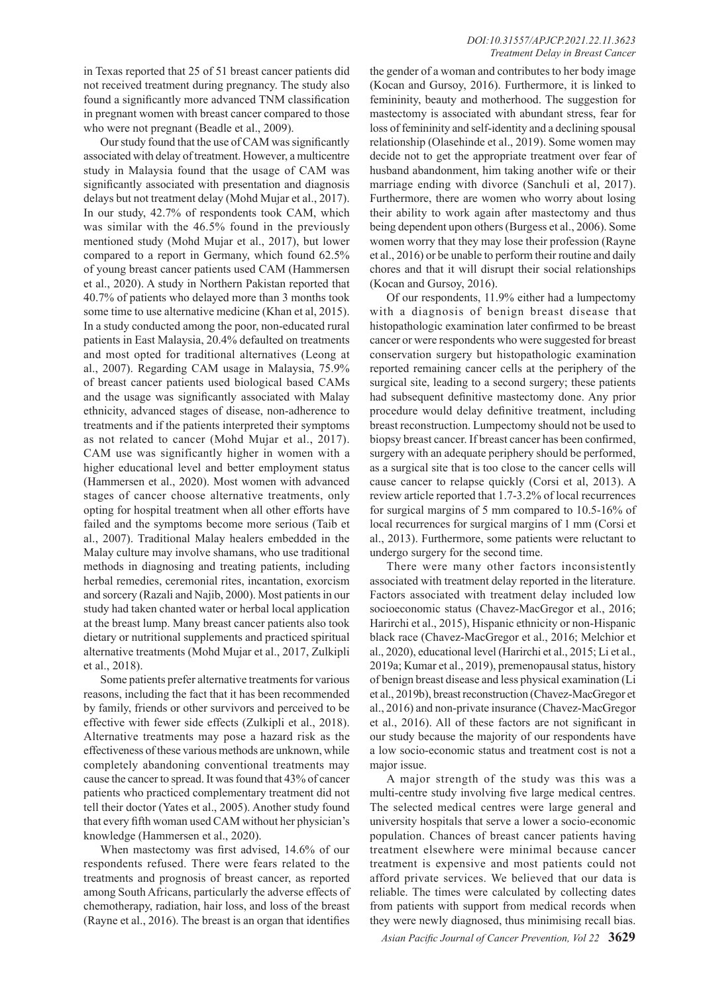## *DOI:10.31557/APJCP.2021.22.11.3623 Treatment Delay in Breast Cancer*

in Texas reported that 25 of 51 breast cancer patients did not received treatment during pregnancy. The study also found a significantly more advanced TNM classification in pregnant women with breast cancer compared to those who were not pregnant (Beadle et al., 2009).

Our study found that the use of CAM was significantly associated with delay of treatment. However, a multicentre study in Malaysia found that the usage of CAM was significantly associated with presentation and diagnosis delays but not treatment delay (Mohd Mujar et al., 2017). In our study, 42.7% of respondents took CAM, which was similar with the 46.5% found in the previously mentioned study (Mohd Mujar et al., 2017), but lower compared to a report in Germany, which found 62.5% of young breast cancer patients used CAM (Hammersen et al., 2020). A study in Northern Pakistan reported that 40.7% of patients who delayed more than 3 months took some time to use alternative medicine (Khan et al, 2015). In a study conducted among the poor, non-educated rural patients in East Malaysia, 20.4% defaulted on treatments and most opted for traditional alternatives (Leong at al., 2007). Regarding CAM usage in Malaysia, 75.9% of breast cancer patients used biological based CAMs and the usage was significantly associated with Malay ethnicity, advanced stages of disease, non-adherence to treatments and if the patients interpreted their symptoms as not related to cancer (Mohd Mujar et al., 2017). CAM use was significantly higher in women with a higher educational level and better employment status (Hammersen et al., 2020). Most women with advanced stages of cancer choose alternative treatments, only opting for hospital treatment when all other efforts have failed and the symptoms become more serious (Taib et al., 2007). Traditional Malay healers embedded in the Malay culture may involve shamans, who use traditional methods in diagnosing and treating patients, including herbal remedies, ceremonial rites, incantation, exorcism and sorcery (Razali and Najib, 2000). Most patients in our study had taken chanted water or herbal local application at the breast lump. Many breast cancer patients also took dietary or nutritional supplements and practiced spiritual alternative treatments (Mohd Mujar et al., 2017, Zulkipli et al., 2018).

Some patients prefer alternative treatments for various reasons, including the fact that it has been recommended by family, friends or other survivors and perceived to be effective with fewer side effects (Zulkipli et al., 2018). Alternative treatments may pose a hazard risk as the effectiveness of these various methods are unknown, while completely abandoning conventional treatments may cause the cancer to spread. It was found that 43% of cancer patients who practiced complementary treatment did not tell their doctor (Yates et al., 2005). Another study found that every fifth woman used CAM without her physician's knowledge (Hammersen et al., 2020).

When mastectomy was first advised, 14.6% of our respondents refused. There were fears related to the treatments and prognosis of breast cancer, as reported among South Africans, particularly the adverse effects of chemotherapy, radiation, hair loss, and loss of the breast (Rayne et al., 2016). The breast is an organ that identifies

the gender of a woman and contributes to her body image (Kocan and Gursoy, 2016). Furthermore, it is linked to femininity, beauty and motherhood. The suggestion for mastectomy is associated with abundant stress, fear for loss of femininity and self-identity and a declining spousal relationship (Olasehinde et al., 2019). Some women may decide not to get the appropriate treatment over fear of husband abandonment, him taking another wife or their marriage ending with divorce (Sanchuli et al, 2017). Furthermore, there are women who worry about losing their ability to work again after mastectomy and thus being dependent upon others (Burgess et al., 2006). Some women worry that they may lose their profession (Rayne et al., 2016) or be unable to perform their routine and daily chores and that it will disrupt their social relationships (Kocan and Gursoy, 2016).

Of our respondents, 11.9% either had a lumpectomy with a diagnosis of benign breast disease that histopathologic examination later confirmed to be breast cancer or were respondents who were suggested for breast conservation surgery but histopathologic examination reported remaining cancer cells at the periphery of the surgical site, leading to a second surgery; these patients had subsequent definitive mastectomy done. Any prior procedure would delay definitive treatment, including breast reconstruction. Lumpectomy should not be used to biopsy breast cancer. If breast cancer has been confirmed, surgery with an adequate periphery should be performed, as a surgical site that is too close to the cancer cells will cause cancer to relapse quickly (Corsi et al, 2013). A review article reported that 1.7-3.2% of local recurrences for surgical margins of 5 mm compared to 10.5-16% of local recurrences for surgical margins of 1 mm (Corsi et al., 2013). Furthermore, some patients were reluctant to undergo surgery for the second time.

There were many other factors inconsistently associated with treatment delay reported in the literature. Factors associated with treatment delay included low socioeconomic status (Chavez-MacGregor et al., 2016; Harirchi et al., 2015), Hispanic ethnicity or non-Hispanic black race (Chavez-MacGregor et al., 2016; Melchior et al., 2020), educational level (Harirchi et al., 2015; Li et al., 2019a; Kumar et al., 2019), premenopausal status, history of benign breast disease and less physical examination (Li et al., 2019b), breast reconstruction (Chavez-MacGregor et al., 2016) and non-private insurance (Chavez-MacGregor et al., 2016). All of these factors are not significant in our study because the majority of our respondents have a low socio-economic status and treatment cost is not a major issue.

A major strength of the study was this was a multi-centre study involving five large medical centres. The selected medical centres were large general and university hospitals that serve a lower a socio-economic population. Chances of breast cancer patients having treatment elsewhere were minimal because cancer treatment is expensive and most patients could not afford private services. We believed that our data is reliable. The times were calculated by collecting dates from patients with support from medical records when they were newly diagnosed, thus minimising recall bias.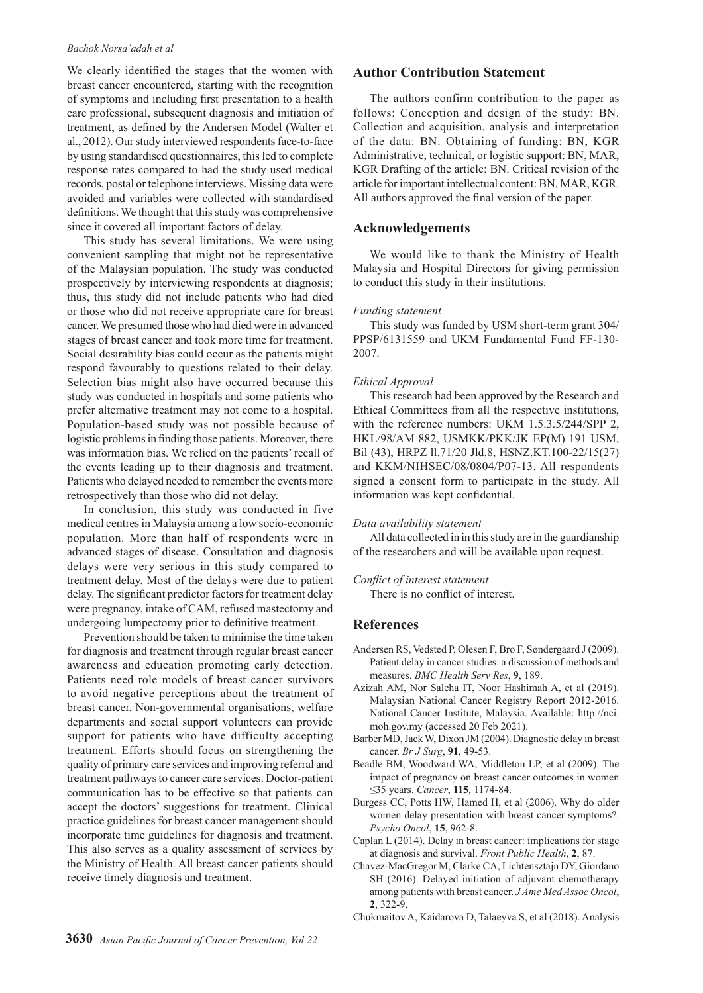We clearly identified the stages that the women with breast cancer encountered, starting with the recognition of symptoms and including first presentation to a health care professional, subsequent diagnosis and initiation of treatment, as defined by the Andersen Model (Walter et al., 2012). Our study interviewed respondents face-to-face by using standardised questionnaires, this led to complete response rates compared to had the study used medical records, postal or telephone interviews. Missing data were avoided and variables were collected with standardised definitions. We thought that this study was comprehensive since it covered all important factors of delay.

This study has several limitations. We were using convenient sampling that might not be representative of the Malaysian population. The study was conducted prospectively by interviewing respondents at diagnosis; thus, this study did not include patients who had died or those who did not receive appropriate care for breast cancer. We presumed those who had died were in advanced stages of breast cancer and took more time for treatment. Social desirability bias could occur as the patients might respond favourably to questions related to their delay. Selection bias might also have occurred because this study was conducted in hospitals and some patients who prefer alternative treatment may not come to a hospital. Population-based study was not possible because of logistic problems in finding those patients. Moreover, there was information bias. We relied on the patients' recall of the events leading up to their diagnosis and treatment. Patients who delayed needed to remember the events more retrospectively than those who did not delay.

In conclusion, this study was conducted in five medical centres in Malaysia among a low socio-economic population. More than half of respondents were in advanced stages of disease. Consultation and diagnosis delays were very serious in this study compared to treatment delay. Most of the delays were due to patient delay. The significant predictor factors for treatment delay were pregnancy, intake of CAM, refused mastectomy and undergoing lumpectomy prior to definitive treatment.

Prevention should be taken to minimise the time taken for diagnosis and treatment through regular breast cancer awareness and education promoting early detection. Patients need role models of breast cancer survivors to avoid negative perceptions about the treatment of breast cancer. Non-governmental organisations, welfare departments and social support volunteers can provide support for patients who have difficulty accepting treatment. Efforts should focus on strengthening the quality of primary care services and improving referral and treatment pathways to cancer care services. Doctor-patient communication has to be effective so that patients can accept the doctors' suggestions for treatment. Clinical practice guidelines for breast cancer management should incorporate time guidelines for diagnosis and treatment. This also serves as a quality assessment of services by the Ministry of Health. All breast cancer patients should receive timely diagnosis and treatment.

## **Author Contribution Statement**

The authors confirm contribution to the paper as follows: Conception and design of the study: BN. Collection and acquisition, analysis and interpretation of the data: BN. Obtaining of funding: BN, KGR Administrative, technical, or logistic support: BN, MAR, KGR Drafting of the article: BN. Critical revision of the article for important intellectual content: BN, MAR, KGR. All authors approved the final version of the paper.

## **Acknowledgements**

We would like to thank the Ministry of Health Malaysia and Hospital Directors for giving permission to conduct this study in their institutions.

#### *Funding statement*

This study was funded by USM short-term grant 304/ PPSP/6131559 and UKM Fundamental Fund FF-130- 2007.

#### *Ethical Approval*

This research had been approved by the Research and Ethical Committees from all the respective institutions, with the reference numbers: UKM 1.5.3.5/244/SPP 2, HKL/98/AM 882, USMKK/PKK/JK EP(M) 191 USM, Bil (43), HRPZ ll.71/20 Jld.8, HSNZ.KT.100-22/15(27) and KKM/NIHSEC/08/0804/P07-13. All respondents signed a consent form to participate in the study. All information was kept confidential.

#### *Data availability statement*

All data collected in in this study are in the guardianship of the researchers and will be available upon request.

## *Conflict of interest statement*

There is no conflict of interest.

## **References**

- Andersen RS, Vedsted P, Olesen F, Bro F, Søndergaard J (2009). Patient delay in cancer studies: a discussion of methods and measures. *BMC Health Serv Res*, **9**, 189.
- Azizah AM, Nor Saleha IT, Noor Hashimah A, et al (2019). Malaysian National Cancer Registry Report 2012-2016. National Cancer Institute, Malaysia. Available: http://nci. moh.gov.my (accessed 20 Feb 2021).
- Barber MD, Jack W, Dixon JM (2004). Diagnostic delay in breast cancer. *Br J Surg*, **91**, 49-53.
- Beadle BM, Woodward WA, Middleton LP, et al (2009). The impact of pregnancy on breast cancer outcomes in women ≤35 years. *Cancer*, **115**, 1174-84.
- Burgess CC, Potts HW, Hamed H, et al (2006). Why do older women delay presentation with breast cancer symptoms?. *Psycho Oncol*, **15**, 962-8.
- Caplan L (2014). Delay in breast cancer: implications for stage at diagnosis and survival. *Front Public Health*, **2**, 87.
- Chavez-MacGregor M, Clarke CA, Lichtensztajn DY, Giordano SH (2016). Delayed initiation of adjuvant chemotherapy among patients with breast cancer. *J Ame Med Assoc Oncol*, **2**, 322-9.
- Chukmaitov A, Kaidarova D, Talaeyva S, et al (2018). Analysis